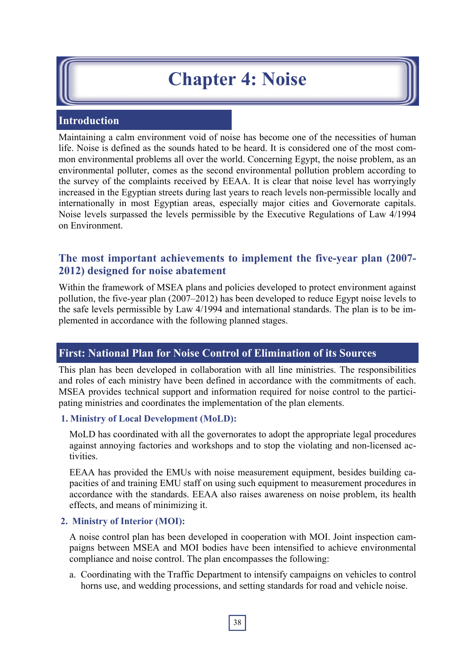# **Chapter 4: Noise**

# **Introduction**

Maintaining a calm environment void of noise has become one of the necessities of human life. Noise is defined as the sounds hated to be heard. It is considered one of the most common environmental problems all over the world. Concerning Egypt, the noise problem, as an environmental polluter, comes as the second environmental pollution problem according to the survey of the complaints received by EEAA. It is clear that noise level has worryingly increased in the Egyptian streets during last years to reach levels non-permissible locally and internationally in most Egyptian areas, especially major cities and Governorate capitals. Noise levels surpassed the levels permissible by the Executive Regulations of Law 4/1994 on Environment.

# **The most important achievements to implement the five-year plan (2007- 2012) designed for noise abatement**

Within the framework of MSEA plans and policies developed to protect environment against pollution, the five-year plan (2007–2012) has been developed to reduce Egypt noise levels to the safe levels permissible by Law 4/1994 and international standards. The plan is to be implemented in accordance with the following planned stages.

# **First: National Plan for Noise Control of Elimination of its Sources**

This plan has been developed in collaboration with all line ministries. The responsibilities and roles of each ministry have been defined in accordance with the commitments of each. MSEA provides technical support and information required for noise control to the participating ministries and coordinates the implementation of the plan elements.

## **1. Ministry of Local Development (MoLD):**

MoLD has coordinated with all the governorates to adopt the appropriate legal procedures against annoying factories and workshops and to stop the violating and non-licensed activities.

EEAA has provided the EMUs with noise measurement equipment, besides building capacities of and training EMU staff on using such equipment to measurement procedures in accordance with the standards. EEAA also raises awareness on noise problem, its health effects, and means of minimizing it.

## **2. Ministry of Interior (MOI):**

A noise control plan has been developed in cooperation with MOI. Joint inspection campaigns between MSEA and MOI bodies have been intensified to achieve environmental compliance and noise control. The plan encompasses the following:

a. Coordinating with the Traffic Department to intensify campaigns on vehicles to control horns use, and wedding processions, and setting standards for road and vehicle noise.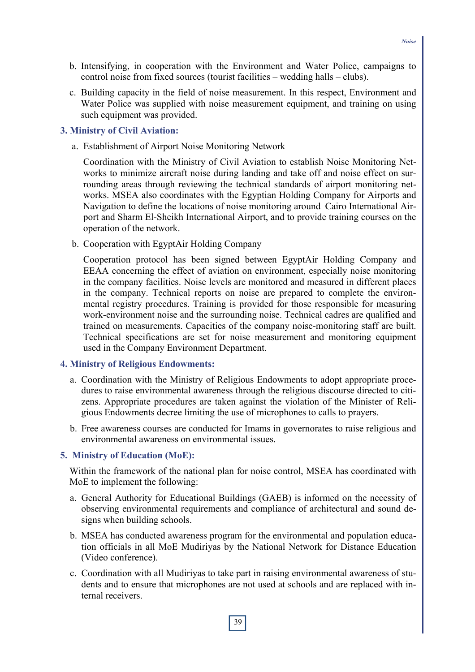- b. Intensifying, in cooperation with the Environment and Water Police, campaigns to control noise from fixed sources (tourist facilities – wedding halls – clubs).
- c. Building capacity in the field of noise measurement. In this respect, Environment and Water Police was supplied with noise measurement equipment, and training on using such equipment was provided.

#### **3. Ministry of Civil Aviation:**

a. Establishment of Airport Noise Monitoring Network

Coordination with the Ministry of Civil Aviation to establish Noise Monitoring Networks to minimize aircraft noise during landing and take off and noise effect on surrounding areas through reviewing the technical standards of airport monitoring networks. MSEA also coordinates with the Egyptian Holding Company for Airports and Navigation to define the locations of noise monitoring around Cairo International Airport and Sharm El-Sheikh International Airport, and to provide training courses on the operation of the network.

b. Cooperation with EgyptAir Holding Company

Cooperation protocol has been signed between EgyptAir Holding Company and EEAA concerning the effect of aviation on environment, especially noise monitoring in the company facilities. Noise levels are monitored and measured in different places in the company. Technical reports on noise are prepared to complete the environmental registry procedures. Training is provided for those responsible for measuring work-environment noise and the surrounding noise. Technical cadres are qualified and trained on measurements. Capacities of the company noise-monitoring staff are built. Technical specifications are set for noise measurement and monitoring equipment used in the Company Environment Department.

#### **4. Ministry of Religious Endowments:**

- a. Coordination with the Ministry of Religious Endowments to adopt appropriate procedures to raise environmental awareness through the religious discourse directed to citizens. Appropriate procedures are taken against the violation of the Minister of Religious Endowments decree limiting the use of microphones to calls to prayers.
- b. Free awareness courses are conducted for Imams in governorates to raise religious and environmental awareness on environmental issues.

#### **5. Ministry of Education (MoE):**

Within the framework of the national plan for noise control, MSEA has coordinated with MoE to implement the following:

- a. General Authority for Educational Buildings (GAEB) is informed on the necessity of observing environmental requirements and compliance of architectural and sound designs when building schools.
- b. MSEA has conducted awareness program for the environmental and population education officials in all MoE Mudiriyas by the National Network for Distance Education (Video conference).
- c. Coordination with all Mudiriyas to take part in raising environmental awareness of students and to ensure that microphones are not used at schools and are replaced with internal receivers.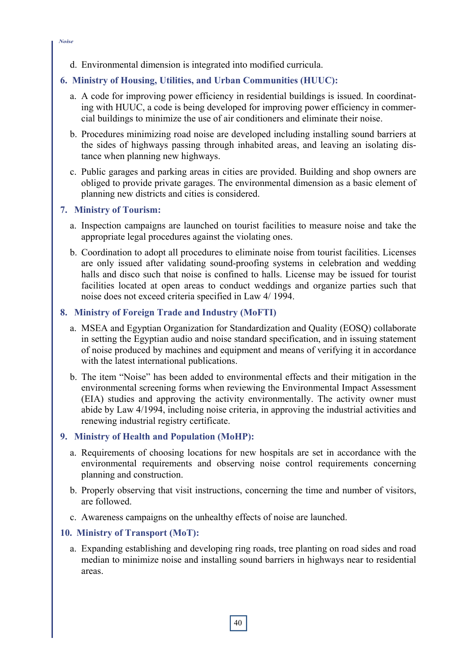d. Environmental dimension is integrated into modified curricula.

# **6. Ministry of Housing, Utilities, and Urban Communities (HUUC):**

- a. A code for improving power efficiency in residential buildings is issued. In coordinating with HUUC, a code is being developed for improving power efficiency in commercial buildings to minimize the use of air conditioners and eliminate their noise.
- b. Procedures minimizing road noise are developed including installing sound barriers at the sides of highways passing through inhabited areas, and leaving an isolating distance when planning new highways.
- c. Public garages and parking areas in cities are provided. Building and shop owners are obliged to provide private garages. The environmental dimension as a basic element of planning new districts and cities is considered.

### **7. Ministry of Tourism:**

- a. Inspection campaigns are launched on tourist facilities to measure noise and take the appropriate legal procedures against the violating ones.
- b. Coordination to adopt all procedures to eliminate noise from tourist facilities. Licenses are only issued after validating sound-proofing systems in celebration and wedding halls and disco such that noise is confined to halls. License may be issued for tourist facilities located at open areas to conduct weddings and organize parties such that noise does not exceed criteria specified in Law 4/ 1994.

# **8. Ministry of Foreign Trade and Industry (MoFTI)**

- a. MSEA and Egyptian Organization for Standardization and Quality (EOSQ) collaborate in setting the Egyptian audio and noise standard specification, and in issuing statement of noise produced by machines and equipment and means of verifying it in accordance with the latest international publications.
- b. The item "Noise" has been added to environmental effects and their mitigation in the environmental screening forms when reviewing the Environmental Impact Assessment (EIA) studies and approving the activity environmentally. The activity owner must abide by Law 4/1994, including noise criteria, in approving the industrial activities and renewing industrial registry certificate.

## **9. Ministry of Health and Population (MoHP):**

- a. Requirements of choosing locations for new hospitals are set in accordance with the environmental requirements and observing noise control requirements concerning planning and construction.
- b. Properly observing that visit instructions, concerning the time and number of visitors, are followed.
- c. Awareness campaigns on the unhealthy effects of noise are launched.

#### **10. Ministry of Transport (MoT):**

a. Expanding establishing and developing ring roads, tree planting on road sides and road median to minimize noise and installing sound barriers in highways near to residential areas.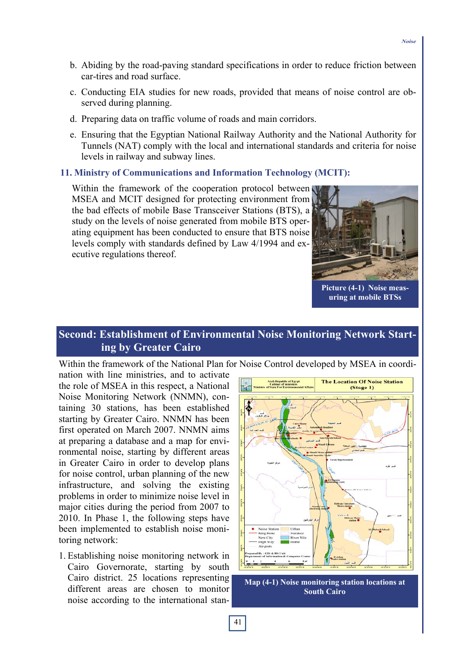- b. Abiding by the road-paving standard specifications in order to reduce friction between car-tires and road surface.
- c. Conducting EIA studies for new roads, provided that means of noise control are observed during planning.
- d. Preparing data on traffic volume of roads and main corridors.
- e. Ensuring that the Egyptian National Railway Authority and the National Authority for Tunnels (NAT) comply with the local and international standards and criteria for noise levels in railway and subway lines.

#### **11. Ministry of Communications and Information Technology (MCIT):**

Within the framework of the cooperation protocol between MSEA and MCIT designed for protecting environment from the bad effects of mobile Base Transceiver Stations (BTS), a study on the levels of noise generated from mobile BTS operating equipment has been conducted to ensure that BTS noise levels comply with standards defined by Law 4/1994 and executive regulations thereof.



**Picture (4-1) Noise measuring at mobile BTSs** 

# **Second: Establishment of Environmental Noise Monitoring Network Starting by Greater Cairo**

Within the framework of the National Plan for Noise Control developed by MSEA in coordi-

nation with line ministries, and to activate the role of MSEA in this respect, a National Noise Monitoring Network (NNMN), containing 30 stations, has been established starting by Greater Cairo. NNMN has been first operated on March 2007. NNMN aims at preparing a database and a map for environmental noise, starting by different areas in Greater Cairo in order to develop plans for noise control, urban planning of the new infrastructure, and solving the existing problems in order to minimize noise level in major cities during the period from 2007 to 2010. In Phase 1, the following steps have been implemented to establish noise monitoring network:

1. Establishing noise monitoring network in Cairo Governorate, starting by south Cairo district. 25 locations representing different areas are chosen to monitor noise according to the international stan-



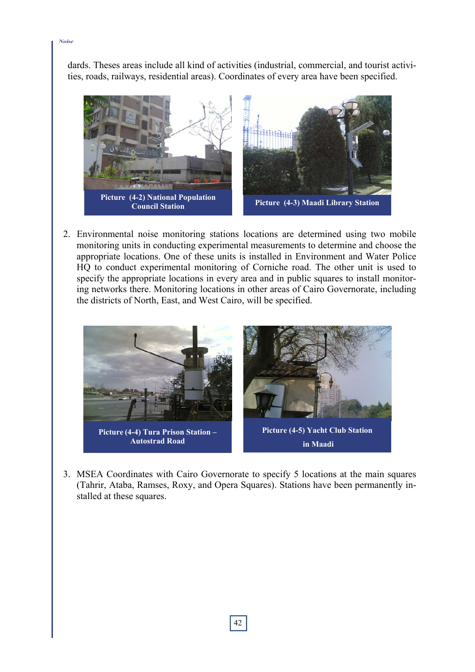dards. Theses areas include all kind of activities (industrial, commercial, and tourist activities, roads, railways, residential areas). Coordinates of every area have been specified.



2. Environmental noise monitoring stations locations are determined using two mobile monitoring units in conducting experimental measurements to determine and choose the appropriate locations. One of these units is installed in Environment and Water Police HQ to conduct experimental monitoring of Corniche road. The other unit is used to specify the appropriate locations in every area and in public squares to install monitoring networks there. Monitoring locations in other areas of Cairo Governorate, including the districts of North, East, and West Cairo, will be specified.



3. MSEA Coordinates with Cairo Governorate to specify 5 locations at the main squares (Tahrir, Ataba, Ramses, Roxy, and Opera Squares). Stations have been permanently installed at these squares.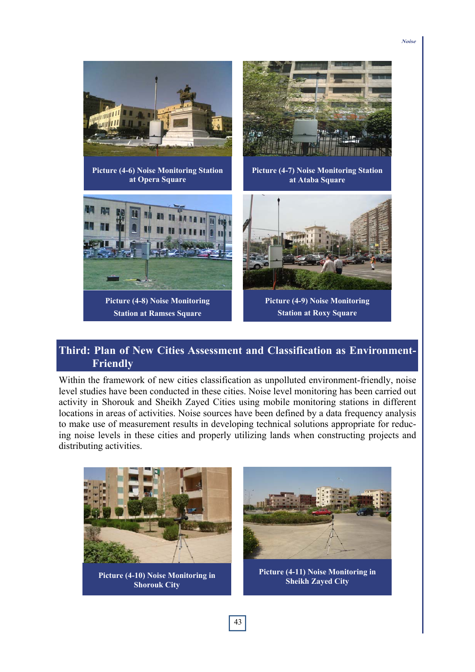

# **Third: Plan of New Cities Assessment and Classification as Environment-Friendly**

Within the framework of new cities classification as unpolluted environment-friendly, noise level studies have been conducted in these cities. Noise level monitoring has been carried out activity in Shorouk and Sheikh Zayed Cities using mobile monitoring stations in different locations in areas of activities. Noise sources have been defined by a data frequency analysis to make use of measurement results in developing technical solutions appropriate for reducing noise levels in these cities and properly utilizing lands when constructing projects and distributing activities.

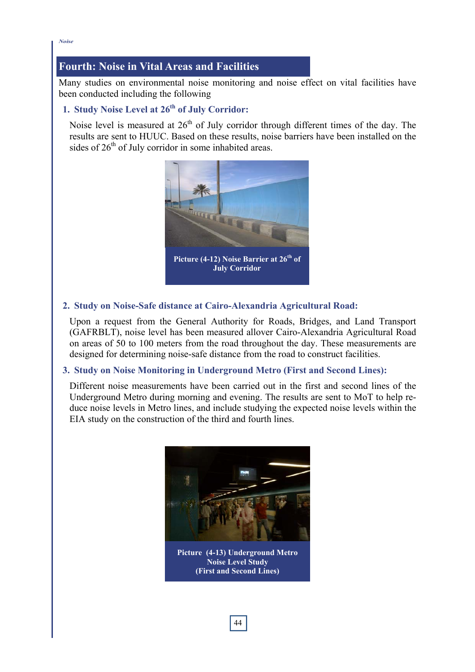*Noise*

# **Fourth: Noise in Vital Areas and Facilities**

Many studies on environmental noise monitoring and noise effect on vital facilities have been conducted including the following

# 1. Study Noise Level at 26<sup>th</sup> of July Corridor:

Noise level is measured at  $26<sup>th</sup>$  of July corridor through different times of the day. The results are sent to HUUC. Based on these results, noise barriers have been installed on the sides of  $26<sup>th</sup>$  of July corridor in some inhabited areas.



## **2. Study on Noise-Safe distance at Cairo-Alexandria Agricultural Road:**

Upon a request from the General Authority for Roads, Bridges, and Land Transport (GAFRBLT), noise level has been measured allover Cairo-Alexandria Agricultural Road on areas of 50 to 100 meters from the road throughout the day. These measurements are designed for determining noise-safe distance from the road to construct facilities.

## **3. Study on Noise Monitoring in Underground Metro (First and Second Lines):**

Different noise measurements have been carried out in the first and second lines of the Underground Metro during morning and evening. The results are sent to MoT to help reduce noise levels in Metro lines, and include studying the expected noise levels within the EIA study on the construction of the third and fourth lines.



**Picture (4-13) Underground Metro Noise Level Study (First and Second Lines)**